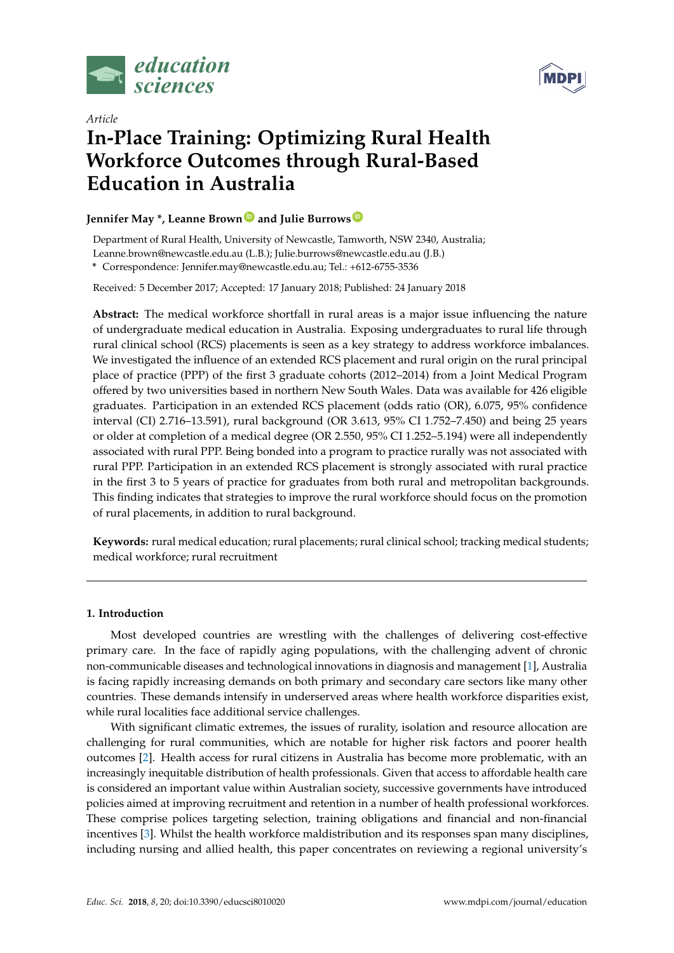



# *Article* **In-Place Training: Optimizing Rural Health Workforce Outcomes through Rural-Based Education in Australia**

# **Jennifer May \*, Leanne Brown [ID](https://orcid.org/0000-0002-4340-2320) and Julie Burrows [ID](https://orcid.org/0000-0001-6289-0166)**

Department of Rural Health, University of Newcastle, Tamworth, NSW 2340, Australia;

Leanne.brown@newcastle.edu.au (L.B.); Julie.burrows@newcastle.edu.au (J.B.)

**\*** Correspondence: Jennifer.may@newcastle.edu.au; Tel.: +612-6755-3536

Received: 5 December 2017; Accepted: 17 January 2018; Published: 24 January 2018

**Abstract:** The medical workforce shortfall in rural areas is a major issue influencing the nature of undergraduate medical education in Australia. Exposing undergraduates to rural life through rural clinical school (RCS) placements is seen as a key strategy to address workforce imbalances. We investigated the influence of an extended RCS placement and rural origin on the rural principal place of practice (PPP) of the first 3 graduate cohorts (2012–2014) from a Joint Medical Program offered by two universities based in northern New South Wales. Data was available for 426 eligible graduates. Participation in an extended RCS placement (odds ratio (OR), 6.075, 95% confidence interval (CI) 2.716–13.591), rural background (OR 3.613, 95% CI 1.752–7.450) and being 25 years or older at completion of a medical degree (OR 2.550, 95% CI 1.252–5.194) were all independently associated with rural PPP. Being bonded into a program to practice rurally was not associated with rural PPP. Participation in an extended RCS placement is strongly associated with rural practice in the first 3 to 5 years of practice for graduates from both rural and metropolitan backgrounds. This finding indicates that strategies to improve the rural workforce should focus on the promotion of rural placements, in addition to rural background.

**Keywords:** rural medical education; rural placements; rural clinical school; tracking medical students; medical workforce; rural recruitment

## **1. Introduction**

Most developed countries are wrestling with the challenges of delivering cost-effective primary care. In the face of rapidly aging populations, with the challenging advent of chronic non-communicable diseases and technological innovations in diagnosis and management [\[1\]](#page-8-0), Australia is facing rapidly increasing demands on both primary and secondary care sectors like many other countries. These demands intensify in underserved areas where health workforce disparities exist, while rural localities face additional service challenges.

With significant climatic extremes, the issues of rurality, isolation and resource allocation are challenging for rural communities, which are notable for higher risk factors and poorer health outcomes [\[2\]](#page-8-1). Health access for rural citizens in Australia has become more problematic, with an increasingly inequitable distribution of health professionals. Given that access to affordable health care is considered an important value within Australian society, successive governments have introduced policies aimed at improving recruitment and retention in a number of health professional workforces. These comprise polices targeting selection, training obligations and financial and non-financial incentives [\[3\]](#page-8-2). Whilst the health workforce maldistribution and its responses span many disciplines, including nursing and allied health, this paper concentrates on reviewing a regional university's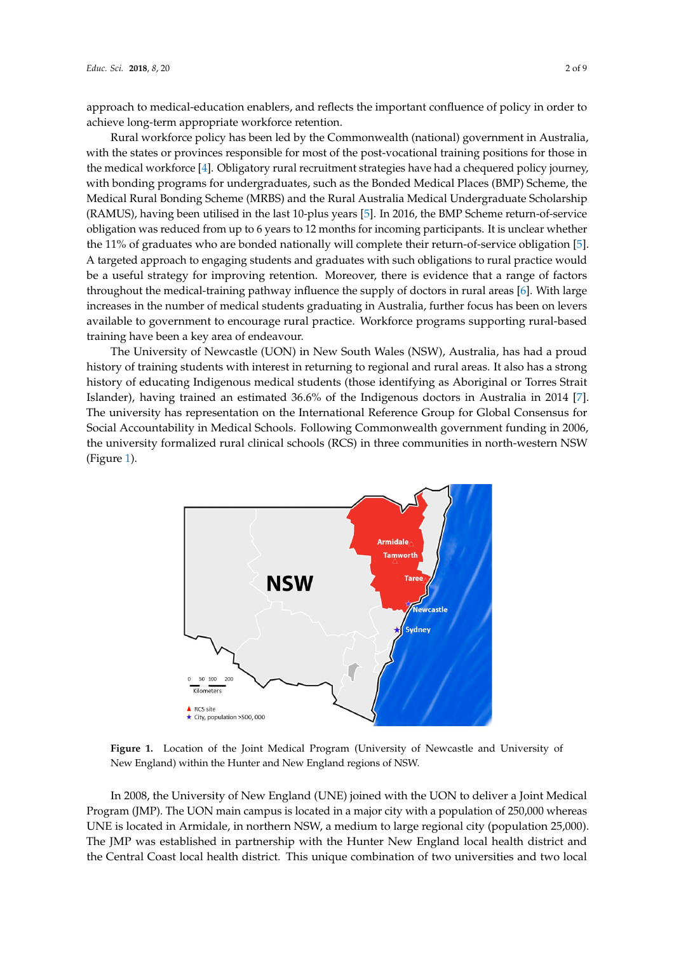approach to medical-education enablers, and reflects the important confluence of policy in order to achieve long-term appropriate workforce retention.

Rural workforce policy has been led by the Commonwealth (national) government in Australia, Rural workforce policy has been led by the Commonwealth (national) government in Australia, with the states or provinces responsible for most of the post-vocational training positions for those in with the states or provinces responsible for most of the post-vocational training positions for those in the medical workforce [\[4\]](#page-8-3). Obligatory rural recruitment strategies have had a chequered policy journey, the medical workforce [4]. Obligatory rural recruitment strategies have had a chequered policy with bonding programs for undergraduates, such as the Bonded Medical Places (BMP) Scheme, the Medical Rural Bonding Scheme (MRBS) and the Rural Australia Medical Undergraduate Scholarship (RAMUS), having been utilised in the last 10-plus years [\[5\]](#page-8-4). In 2016, the BMP Scheme return-of-service obligation was reduced from up to 6 years to 12 months for incoming participants. It is unclear whether the 11% of graduates who are bonded nationally will complete their return-of-service obligation [\[5\]](#page-8-4). A targeted approach to engaging students and graduates with such obligations to rural practice would be a useful strategy for improving retention. Moreover, there is evidence that a range of factors throughout the medical-training pathway influence the supply of doctors in rural areas [\[6\]](#page-8-5). With large increases in the number of medical students graduating in Australia, further focus has been on levers available to government to encourage rural practice. Workforce programs supporting rural-based training have been a key area of endeavour.

The University of Newcastle (UON) in New South Wales (NSW), Australia, has had a proud The University of Newcastle (UON) in New South Wales (NSW), Australia, has had a proud history of training students with interest in returning to regional and rural areas. It also has a strong history of training students with interest in returning to regional and rural areas. It also has a strong history of educating Indigenous medical students (those identifying as Aboriginal or Torres Strait history of educating Indigenous medical students (those identifying as Aboriginal or Torres Strait Islander), having trained an estimated 36.6% of the Indigenous doctors in Australia in 2014 [\[7\]](#page-8-6). The university has representation on the International Reference Group for Global Consensus for Social Accountability in Medical Schools. Following Commonwealth government funding in 2006, Accountability in Medical Schools. Following Commonwealth government funding in 2006, the the university formalized rural clinical schools (RCS) in three communities in north-western NSW university formalized rural clinical schools (RCS) in three communities in north-western NSW (Figure [1\)](#page-1-0). (Figure 1).

<span id="page-1-0"></span>

**Figure 1.** Location of the Joint Medical Program (University of Newcastle and University of New Total Program (University of New Cases) England) within the Hunter and New England regions of NSW. New England) within the Hunter and New England regions of NSW.

In 2008, the University of New England (UNE) joined with the UON to deliver a Joint Medical In 2008, the University of New England (UNE) joined with the UON to deliver a Joint Medical Program (JMP). The UON main campus is located in a major city with a population of 250,000 Program (JMP). The UON main campus is located in a major city with a population of 250,000 whereas UNE is located in Armidale, in northern NSW, a medium to large regional city (population 25,000). 25,000). The JMP was established in partnership with the Hunter New England local health district The JMP was established in partnership with the Hunter New England local health district and and the Central Coast local health district. This unique combination of two universities and two local the Central Coast local health district. This unique combination of two universities and two local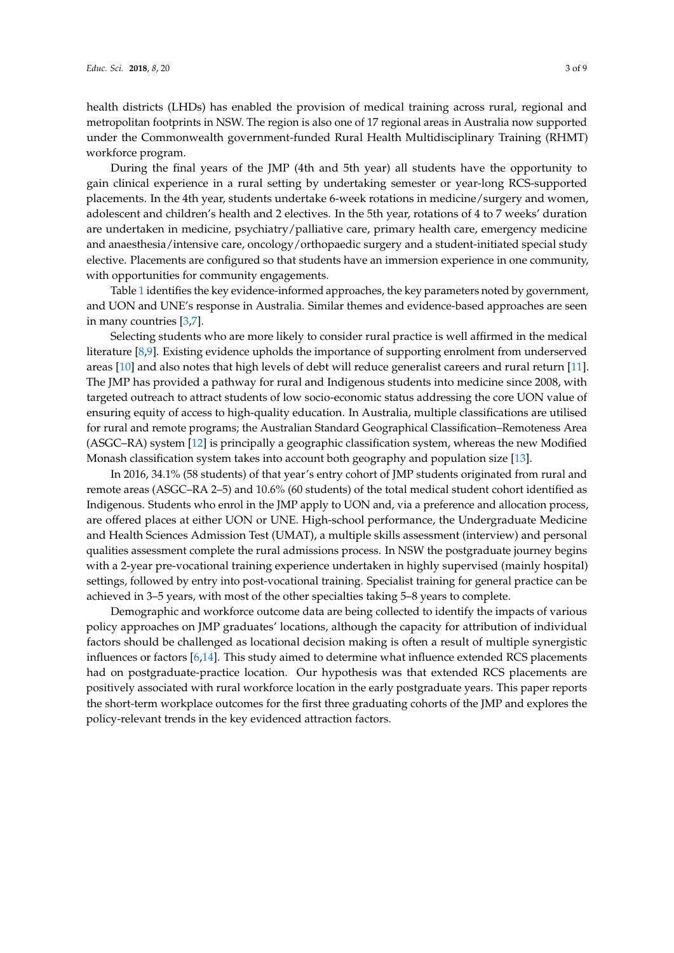health districts (LHDs) has enabled the provision of medical training across rural, regional and metropolitan footprints in NSW. The region is also one of 17 regional areas in Australia now supported under the Commonwealth government-funded Rural Health Multidisciplinary Training (RHMT) workforce program.

During the final years of the JMP (4th and 5th year) all students have the opportunity to gain clinical experience in a rural setting by undertaking semester or year-long RCS-supported placements. In the 4th year, students undertake 6-week rotations in medicine/surgery and women, adolescent and children's health and 2 electives. In the 5th year, rotations of 4 to 7 weeks' duration are undertaken in medicine, psychiatry/palliative care, primary health care, emergency medicine and anaesthesia/intensive care, oncology/orthopaedic surgery and a student-initiated special study elective. Placements are configured so that students have an immersion experience in one community, with opportunities for community engagements.

Table [1](#page-3-0) identifies the key evidence-informed approaches, the key parameters noted by government, and UON and UNE's response in Australia. Similar themes and evidence-based approaches are seen in many countries [\[3](#page-8-2)[,7\]](#page-8-6).

Selecting students who are more likely to consider rural practice is well affirmed in the medical literature [\[8](#page-8-7)[,9\]](#page-8-8). Existing evidence upholds the importance of supporting enrolment from underserved areas [\[10\]](#page-8-9) and also notes that high levels of debt will reduce generalist careers and rural return [\[11\]](#page-8-10). The JMP has provided a pathway for rural and Indigenous students into medicine since 2008, with targeted outreach to attract students of low socio-economic status addressing the core UON value of ensuring equity of access to high-quality education. In Australia, multiple classifications are utilised for rural and remote programs; the Australian Standard Geographical Classification–Remoteness Area (ASGC–RA) system [\[12\]](#page-8-11) is principally a geographic classification system, whereas the new Modified Monash classification system takes into account both geography and population size [\[13\]](#page-8-12).

In 2016, 34.1% (58 students) of that year's entry cohort of JMP students originated from rural and remote areas (ASGC–RA 2–5) and 10.6% (60 students) of the total medical student cohort identified as Indigenous. Students who enrol in the JMP apply to UON and, via a preference and allocation process, are offered places at either UON or UNE. High-school performance, the Undergraduate Medicine and Health Sciences Admission Test (UMAT), a multiple skills assessment (interview) and personal qualities assessment complete the rural admissions process. In NSW the postgraduate journey begins with a 2-year pre-vocational training experience undertaken in highly supervised (mainly hospital) settings, followed by entry into post-vocational training. Specialist training for general practice can be achieved in 3–5 years, with most of the other specialties taking 5–8 years to complete.

Demographic and workforce outcome data are being collected to identify the impacts of various policy approaches on JMP graduates' locations, although the capacity for attribution of individual factors should be challenged as locational decision making is often a result of multiple synergistic influences or factors [\[6,](#page-8-5)[14\]](#page-8-13). This study aimed to determine what influence extended RCS placements had on postgraduate-practice location. Our hypothesis was that extended RCS placements are positively associated with rural workforce location in the early postgraduate years. This paper reports the short-term workplace outcomes for the first three graduating cohorts of the JMP and explores the policy-relevant trends in the key evidenced attraction factors.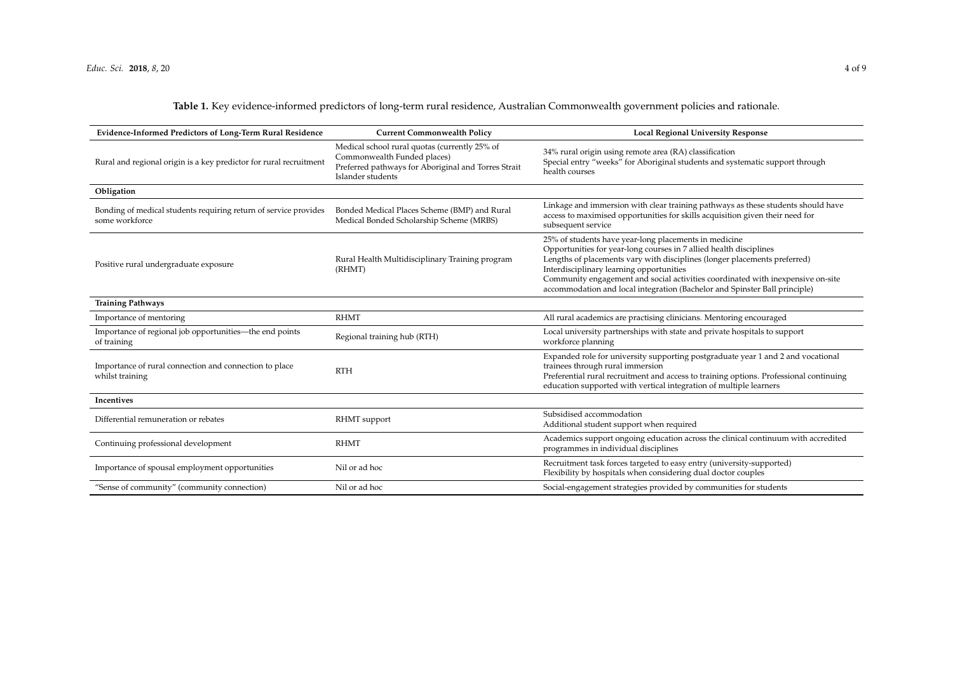**Table 1.** Key evidence-informed predictors of long-term rural residence, Australian Commonwealth government policies and rationale.

<span id="page-3-0"></span>

| Evidence-Informed Predictors of Long-Term Rural Residence                          | <b>Current Commonwealth Policy</b>                                                                                                                       | <b>Local Regional University Response</b>                                                                                                                                                                                                                                                                                                                                                                             |
|------------------------------------------------------------------------------------|----------------------------------------------------------------------------------------------------------------------------------------------------------|-----------------------------------------------------------------------------------------------------------------------------------------------------------------------------------------------------------------------------------------------------------------------------------------------------------------------------------------------------------------------------------------------------------------------|
| Rural and regional origin is a key predictor for rural recruitment                 | Medical school rural quotas (currently 25% of<br>Commonwealth Funded places)<br>Preferred pathways for Aboriginal and Torres Strait<br>Islander students | 34% rural origin using remote area (RA) classification<br>Special entry "weeks" for Aboriginal students and systematic support through<br>health courses                                                                                                                                                                                                                                                              |
| Obligation                                                                         |                                                                                                                                                          |                                                                                                                                                                                                                                                                                                                                                                                                                       |
| Bonding of medical students requiring return of service provides<br>some workforce | Bonded Medical Places Scheme (BMP) and Rural<br>Medical Bonded Scholarship Scheme (MRBS)                                                                 | Linkage and immersion with clear training pathways as these students should have<br>access to maximised opportunities for skills acquisition given their need for<br>subsequent service                                                                                                                                                                                                                               |
| Positive rural undergraduate exposure                                              | Rural Health Multidisciplinary Training program<br>(RHMT)                                                                                                | 25% of students have year-long placements in medicine<br>Opportunities for year-long courses in 7 allied health disciplines<br>Lengths of placements vary with disciplines (longer placements preferred)<br>Interdisciplinary learning opportunities<br>Community engagement and social activities coordinated with inexpensive on-site<br>accommodation and local integration (Bachelor and Spinster Ball principle) |
| <b>Training Pathways</b>                                                           |                                                                                                                                                          |                                                                                                                                                                                                                                                                                                                                                                                                                       |
| Importance of mentoring                                                            | <b>RHMT</b>                                                                                                                                              | All rural academics are practising clinicians. Mentoring encouraged                                                                                                                                                                                                                                                                                                                                                   |
| Importance of regional job opportunities—the end points<br>of training             | Regional training hub (RTH)                                                                                                                              | Local university partnerships with state and private hospitals to support<br>workforce planning                                                                                                                                                                                                                                                                                                                       |
| Importance of rural connection and connection to place<br>whilst training          | <b>RTH</b>                                                                                                                                               | Expanded role for university supporting postgraduate year 1 and 2 and vocational<br>trainees through rural immersion<br>Preferential rural recruitment and access to training options. Professional continuing<br>education supported with vertical integration of multiple learners                                                                                                                                  |
| Incentives                                                                         |                                                                                                                                                          |                                                                                                                                                                                                                                                                                                                                                                                                                       |
| Differential remuneration or rebates                                               | RHMT support                                                                                                                                             | Subsidised accommodation<br>Additional student support when required                                                                                                                                                                                                                                                                                                                                                  |
| Continuing professional development                                                | <b>RHMT</b>                                                                                                                                              | Academics support ongoing education across the clinical continuum with accredited<br>programmes in individual disciplines                                                                                                                                                                                                                                                                                             |
| Importance of spousal employment opportunities                                     | Nil or ad hoc                                                                                                                                            | Recruitment task forces targeted to easy entry (university-supported)<br>Flexibility by hospitals when considering dual doctor couples                                                                                                                                                                                                                                                                                |
| "Sense of community" (community connection)                                        | Nil or ad hoc                                                                                                                                            | Social-engagement strategies provided by communities for students                                                                                                                                                                                                                                                                                                                                                     |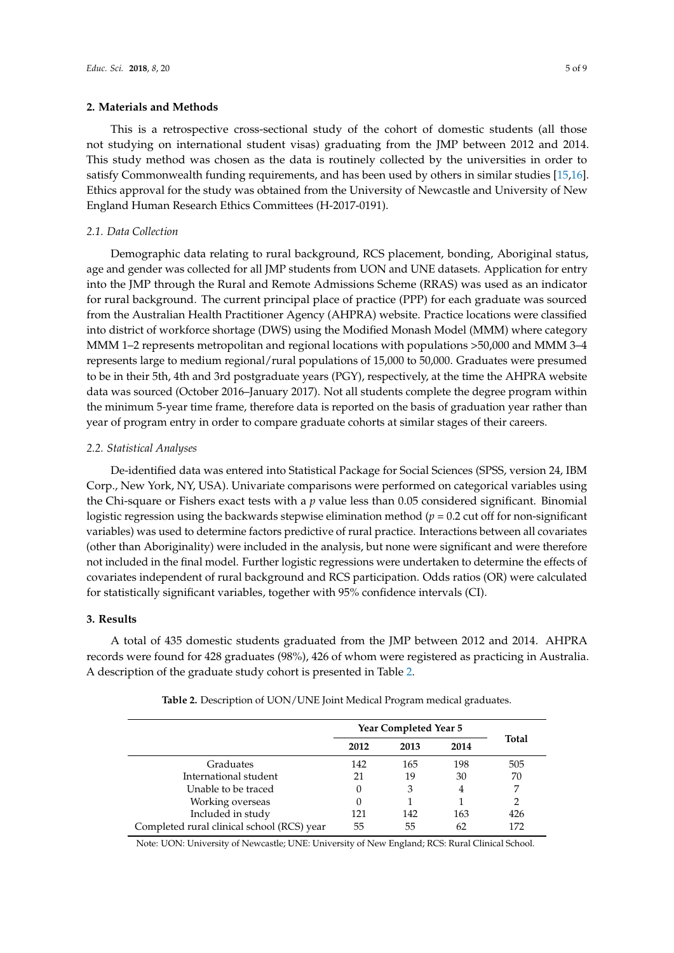### **2. Materials and Methods**

This is a retrospective cross-sectional study of the cohort of domestic students (all those not studying on international student visas) graduating from the JMP between 2012 and 2014. This study method was chosen as the data is routinely collected by the universities in order to satisfy Commonwealth funding requirements, and has been used by others in similar studies [\[15,](#page-8-14)[16\]](#page-8-15). Ethics approval for the study was obtained from the University of Newcastle and University of New England Human Research Ethics Committees (H-2017-0191).

#### *2.1. Data Collection*

Demographic data relating to rural background, RCS placement, bonding, Aboriginal status, age and gender was collected for all JMP students from UON and UNE datasets. Application for entry into the JMP through the Rural and Remote Admissions Scheme (RRAS) was used as an indicator for rural background. The current principal place of practice (PPP) for each graduate was sourced from the Australian Health Practitioner Agency (AHPRA) website. Practice locations were classified into district of workforce shortage (DWS) using the Modified Monash Model (MMM) where category MMM 1–2 represents metropolitan and regional locations with populations >50,000 and MMM 3–4 represents large to medium regional/rural populations of 15,000 to 50,000. Graduates were presumed to be in their 5th, 4th and 3rd postgraduate years (PGY), respectively, at the time the AHPRA website data was sourced (October 2016–January 2017). Not all students complete the degree program within the minimum 5-year time frame, therefore data is reported on the basis of graduation year rather than year of program entry in order to compare graduate cohorts at similar stages of their careers.

#### *2.2. Statistical Analyses*

De-identified data was entered into Statistical Package for Social Sciences (SPSS, version 24, IBM Corp., New York, NY, USA). Univariate comparisons were performed on categorical variables using the Chi-square or Fishers exact tests with a *p* value less than 0.05 considered significant. Binomial logistic regression using the backwards stepwise elimination method  $(p = 0.2$  cut off for non-significant variables) was used to determine factors predictive of rural practice. Interactions between all covariates (other than Aboriginality) were included in the analysis, but none were significant and were therefore not included in the final model. Further logistic regressions were undertaken to determine the effects of covariates independent of rural background and RCS participation. Odds ratios (OR) were calculated for statistically significant variables, together with 95% confidence intervals (CI).

## **3. Results**

<span id="page-4-0"></span>A total of 435 domestic students graduated from the JMP between 2012 and 2014. AHPRA records were found for 428 graduates (98%), 426 of whom were registered as practicing in Australia. A description of the graduate study cohort is presented in Table [2.](#page-4-0)

|                                            | <b>Year Completed Year 5</b> |      |      |              |
|--------------------------------------------|------------------------------|------|------|--------------|
|                                            | 2012                         | 2013 | 2014 | <b>Total</b> |
| Graduates                                  | 142                          | 165  | 198  | 505          |
| International student                      | 21                           | 19   | 30   | 70           |
| Unable to be traced                        |                              | 3    | 4    | 7            |
| Working overseas                           |                              |      |      | 2            |
| Included in study                          | 121                          | 142  | 163  | 426          |
| Completed rural clinical school (RCS) year | 55                           | 55   | 62   | 172          |

**Table 2.** Description of UON/UNE Joint Medical Program medical graduates.

Note: UON: University of Newcastle; UNE: University of New England; RCS: Rural Clinical School.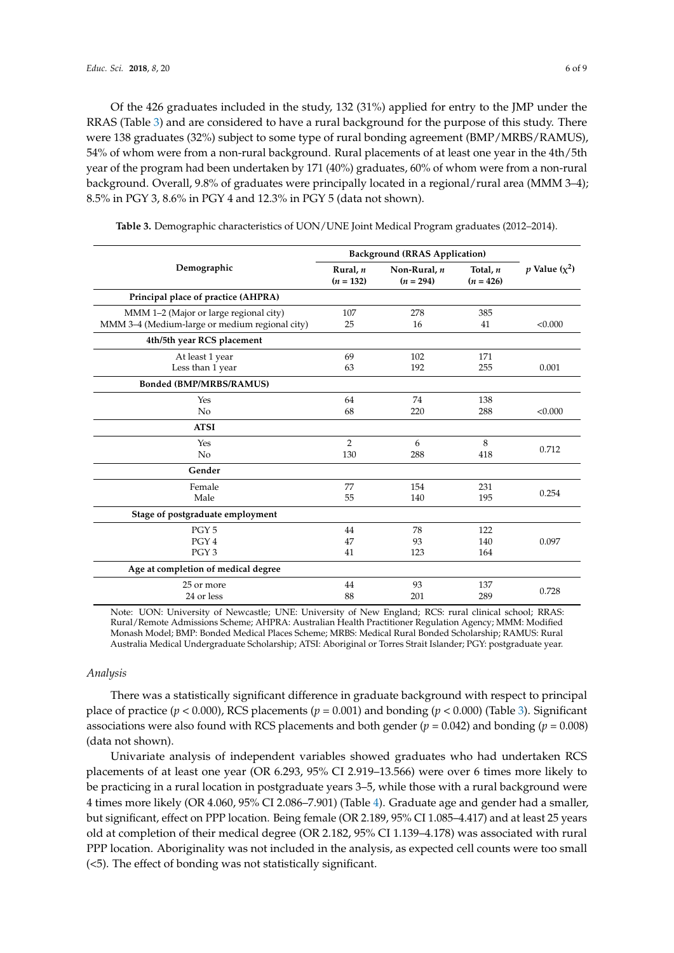Of the 426 graduates included in the study, 132 (31%) applied for entry to the JMP under the RRAS (Table [3\)](#page-5-0) and are considered to have a rural background for the purpose of this study. There were 138 graduates (32%) subject to some type of rural bonding agreement (BMP/MRBS/RAMUS), 54% of whom were from a non-rural background. Rural placements of at least one year in the 4th/5th year of the program had been undertaken by 171 (40%) graduates, 60% of whom were from a non-rural background. Overall, 9.8% of graduates were principally located in a regional/rural area (MMM 3–4); 8.5% in PGY 3, 8.6% in PGY 4 and 12.3% in PGY 5 (data not shown).

|                                                | <b>Background (RRAS Application)</b> |                             |                         |                    |
|------------------------------------------------|--------------------------------------|-----------------------------|-------------------------|--------------------|
| Demographic                                    | Rural, n<br>$(n = 132)$              | Non-Rural, n<br>$(n = 294)$ | Total, n<br>$(n = 426)$ | p Value $(\chi^2)$ |
| Principal place of practice (AHPRA)            |                                      |                             |                         |                    |
| MMM 1-2 (Major or large regional city)         | 107                                  | 278                         | 385                     |                    |
| MMM 3-4 (Medium-large or medium regional city) | 25                                   | 16                          | 41                      | < 0.000            |
| 4th/5th year RCS placement                     |                                      |                             |                         |                    |
| At least 1 year                                | 69                                   | 102                         | 171                     |                    |
| Less than 1 year                               | 63                                   | 192                         | 255                     | 0.001              |
| <b>Bonded (BMP/MRBS/RAMUS)</b>                 |                                      |                             |                         |                    |
| Yes                                            | 64                                   | 74                          | 138                     |                    |
| No                                             | 68                                   | 220                         | 288                     | < 0.000            |
| <b>ATSI</b>                                    |                                      |                             |                         |                    |
| Yes                                            | $\overline{2}$                       | 6                           | 8                       |                    |
| No                                             | 130                                  | 288                         | 418                     | 0.712              |
| Gender                                         |                                      |                             |                         |                    |
| Female                                         | 77                                   | 154                         | 231                     | 0.254              |
| Male                                           | 55                                   | 140                         | 195                     |                    |
| Stage of postgraduate employment               |                                      |                             |                         |                    |
| PGY <sub>5</sub>                               | 44                                   | 78                          | 122                     |                    |
| PGY <sub>4</sub>                               | 47                                   | 93                          | 140                     | 0.097              |
| PGY <sub>3</sub>                               | 41                                   | 123                         | 164                     |                    |
| Age at completion of medical degree            |                                      |                             |                         |                    |
| 25 or more                                     | 44                                   | 93                          | 137                     | 0.728              |
| 24 or less                                     | 88                                   | 201                         | 289                     |                    |

<span id="page-5-0"></span>**Table 3.** Demographic characteristics of UON/UNE Joint Medical Program graduates (2012–2014).

Note: UON: University of Newcastle; UNE: University of New England; RCS: rural clinical school; RRAS: Rural/Remote Admissions Scheme; AHPRA: Australian Health Practitioner Regulation Agency; MMM: Modified Monash Model; BMP: Bonded Medical Places Scheme; MRBS: Medical Rural Bonded Scholarship; RAMUS: Rural Australia Medical Undergraduate Scholarship; ATSI: Aboriginal or Torres Strait Islander; PGY: postgraduate year.

#### *Analysis*

There was a statistically significant difference in graduate background with respect to principal place of practice (*p* < 0.000), RCS placements (*p =* 0.001) and bonding (*p* < 0.000) (Table [3\)](#page-5-0). Significant associations were also found with RCS placements and both gender  $(p = 0.042)$  and bonding  $(p = 0.008)$ (data not shown).

Univariate analysis of independent variables showed graduates who had undertaken RCS placements of at least one year (OR 6.293, 95% CI 2.919–13.566) were over 6 times more likely to be practicing in a rural location in postgraduate years 3–5, while those with a rural background were 4 times more likely (OR 4.060, 95% CI 2.086–7.901) (Table [4\)](#page-6-0). Graduate age and gender had a smaller, but significant, effect on PPP location. Being female (OR 2.189, 95% CI 1.085–4.417) and at least 25 years old at completion of their medical degree (OR 2.182, 95% CI 1.139–4.178) was associated with rural PPP location. Aboriginality was not included in the analysis, as expected cell counts were too small (<5). The effect of bonding was not statistically significant.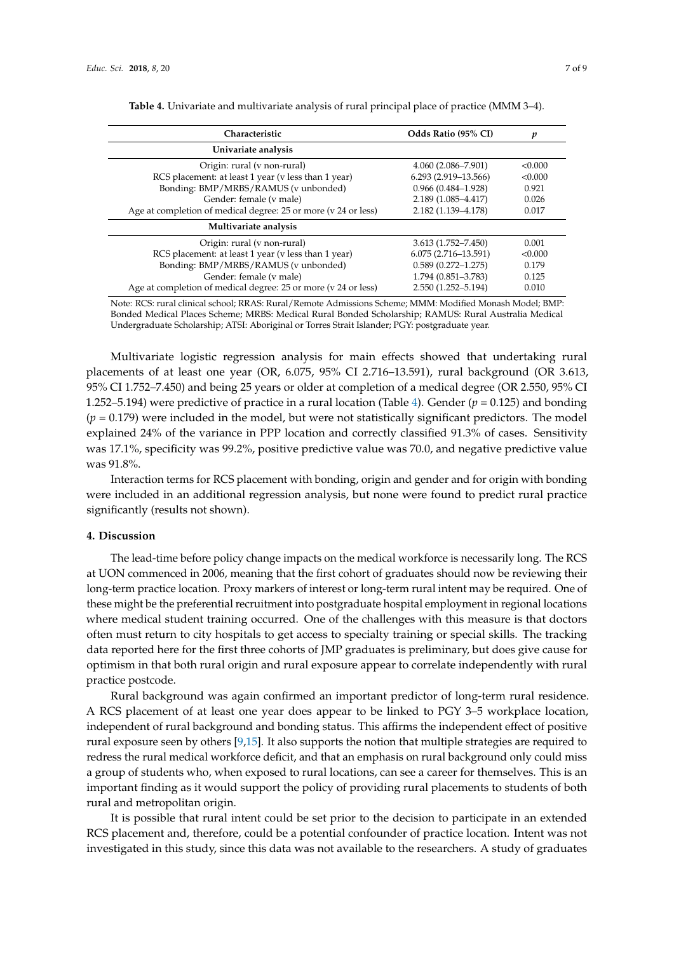<span id="page-6-0"></span>

| Characteristic                                                 | Odds Ratio (95% CI)     | p       |
|----------------------------------------------------------------|-------------------------|---------|
| Univariate analysis                                            |                         |         |
| Origin: rural (v non-rural)                                    | $4.060(2.086 - 7.901)$  | < 0.000 |
| RCS placement: at least 1 year (v less than 1 year)            | $6.293(2.919-13.566)$   | < 0.000 |
| Bonding: BMP/MRBS/RAMUS (v unbonded)                           | $0.966(0.484 - 1.928)$  | 0.921   |
| Gender: female (v male)                                        | 2.189 (1.085-4.417)     | 0.026   |
| Age at completion of medical degree: 25 or more (v 24 or less) | 2.182 (1.139-4.178)     | 0.017   |
| Multivariate analysis                                          |                         |         |
| Origin: rural (v non-rural)                                    | $3.613(1.752 - 7.450)$  | 0.001   |
| RCS placement: at least 1 year (v less than 1 year)            | $6.075(2.716 - 13.591)$ | < 0.000 |
| Bonding: BMP/MRBS/RAMUS (v unbonded)                           | $0.589(0.272 - 1.275)$  | 0.179   |
| Gender: female (v male)                                        | 1.794 (0.851-3.783)     | 0.125   |
| Age at completion of medical degree: 25 or more (v 24 or less) | 2.550 (1.252-5.194)     | 0.010   |

**Table 4.** Univariate and multivariate analysis of rural principal place of practice (MMM 3–4).

Note: RCS: rural clinical school; RRAS: Rural/Remote Admissions Scheme; MMM: Modified Monash Model; BMP: Bonded Medical Places Scheme; MRBS: Medical Rural Bonded Scholarship; RAMUS: Rural Australia Medical Undergraduate Scholarship; ATSI: Aboriginal or Torres Strait Islander; PGY: postgraduate year.

Multivariate logistic regression analysis for main effects showed that undertaking rural placements of at least one year (OR, 6.075, 95% CI 2.716–13.591), rural background (OR 3.613, 95% CI 1.752–7.450) and being 25 years or older at completion of a medical degree (OR 2.550, 95% CI 1.252–5.19[4\)](#page-6-0) were predictive of practice in a rural location (Table 4). Gender  $(p = 0.125)$  and bonding  $(p = 0.179)$  were included in the model, but were not statistically significant predictors. The model explained 24% of the variance in PPP location and correctly classified 91.3% of cases. Sensitivity was 17.1%, specificity was 99.2%, positive predictive value was 70.0, and negative predictive value was 91.8%.

Interaction terms for RCS placement with bonding, origin and gender and for origin with bonding were included in an additional regression analysis, but none were found to predict rural practice significantly (results not shown).

#### **4. Discussion**

The lead-time before policy change impacts on the medical workforce is necessarily long. The RCS at UON commenced in 2006, meaning that the first cohort of graduates should now be reviewing their long-term practice location. Proxy markers of interest or long-term rural intent may be required. One of these might be the preferential recruitment into postgraduate hospital employment in regional locations where medical student training occurred. One of the challenges with this measure is that doctors often must return to city hospitals to get access to specialty training or special skills. The tracking data reported here for the first three cohorts of JMP graduates is preliminary, but does give cause for optimism in that both rural origin and rural exposure appear to correlate independently with rural practice postcode.

Rural background was again confirmed an important predictor of long-term rural residence. A RCS placement of at least one year does appear to be linked to PGY 3–5 workplace location, independent of rural background and bonding status. This affirms the independent effect of positive rural exposure seen by others [\[9](#page-8-8)[,15\]](#page-8-14). It also supports the notion that multiple strategies are required to redress the rural medical workforce deficit, and that an emphasis on rural background only could miss a group of students who, when exposed to rural locations, can see a career for themselves. This is an important finding as it would support the policy of providing rural placements to students of both rural and metropolitan origin.

It is possible that rural intent could be set prior to the decision to participate in an extended RCS placement and, therefore, could be a potential confounder of practice location. Intent was not investigated in this study, since this data was not available to the researchers. A study of graduates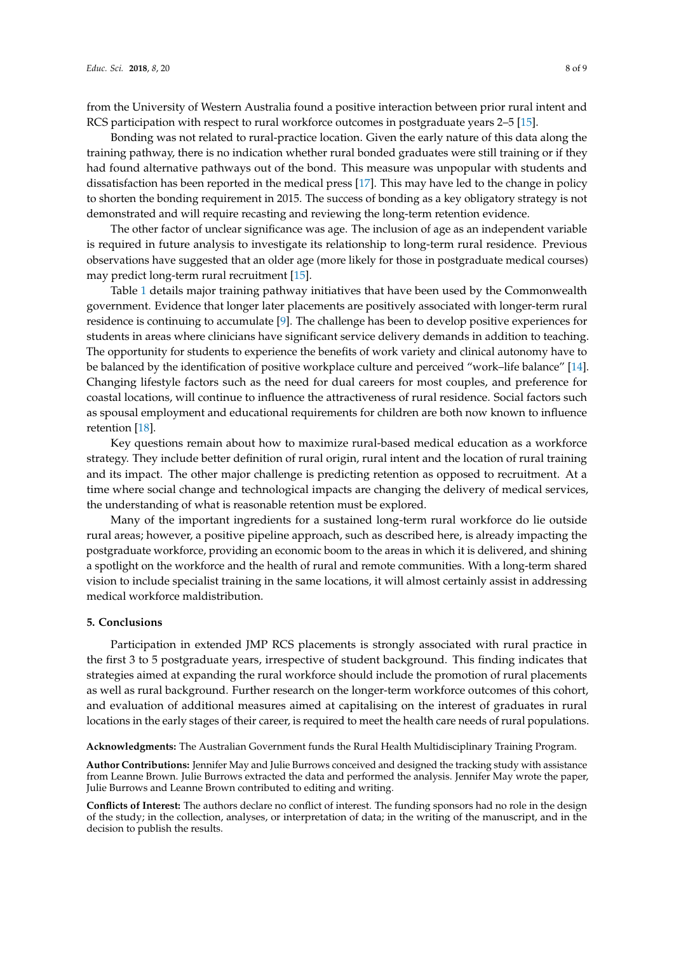from the University of Western Australia found a positive interaction between prior rural intent and RCS participation with respect to rural workforce outcomes in postgraduate years 2–5 [\[15\]](#page-8-14).

Bonding was not related to rural-practice location. Given the early nature of this data along the training pathway, there is no indication whether rural bonded graduates were still training or if they had found alternative pathways out of the bond. This measure was unpopular with students and dissatisfaction has been reported in the medical press [\[17\]](#page-8-16). This may have led to the change in policy to shorten the bonding requirement in 2015. The success of bonding as a key obligatory strategy is not demonstrated and will require recasting and reviewing the long-term retention evidence.

The other factor of unclear significance was age. The inclusion of age as an independent variable is required in future analysis to investigate its relationship to long-term rural residence. Previous observations have suggested that an older age (more likely for those in postgraduate medical courses) may predict long-term rural recruitment [\[15\]](#page-8-14).

Table [1](#page-3-0) details major training pathway initiatives that have been used by the Commonwealth government. Evidence that longer later placements are positively associated with longer-term rural residence is continuing to accumulate [\[9\]](#page-8-8). The challenge has been to develop positive experiences for students in areas where clinicians have significant service delivery demands in addition to teaching. The opportunity for students to experience the benefits of work variety and clinical autonomy have to be balanced by the identification of positive workplace culture and perceived "work–life balance" [\[14\]](#page-8-13). Changing lifestyle factors such as the need for dual careers for most couples, and preference for coastal locations, will continue to influence the attractiveness of rural residence. Social factors such as spousal employment and educational requirements for children are both now known to influence retention [\[18\]](#page-8-17).

Key questions remain about how to maximize rural-based medical education as a workforce strategy. They include better definition of rural origin, rural intent and the location of rural training and its impact. The other major challenge is predicting retention as opposed to recruitment. At a time where social change and technological impacts are changing the delivery of medical services, the understanding of what is reasonable retention must be explored.

Many of the important ingredients for a sustained long-term rural workforce do lie outside rural areas; however, a positive pipeline approach, such as described here, is already impacting the postgraduate workforce, providing an economic boom to the areas in which it is delivered, and shining a spotlight on the workforce and the health of rural and remote communities. With a long-term shared vision to include specialist training in the same locations, it will almost certainly assist in addressing medical workforce maldistribution.

## **5. Conclusions**

Participation in extended JMP RCS placements is strongly associated with rural practice in the first 3 to 5 postgraduate years, irrespective of student background. This finding indicates that strategies aimed at expanding the rural workforce should include the promotion of rural placements as well as rural background. Further research on the longer-term workforce outcomes of this cohort, and evaluation of additional measures aimed at capitalising on the interest of graduates in rural locations in the early stages of their career, is required to meet the health care needs of rural populations.

**Acknowledgments:** The Australian Government funds the Rural Health Multidisciplinary Training Program.

**Author Contributions:** Jennifer May and Julie Burrows conceived and designed the tracking study with assistance from Leanne Brown. Julie Burrows extracted the data and performed the analysis. Jennifer May wrote the paper, Julie Burrows and Leanne Brown contributed to editing and writing.

**Conflicts of Interest:** The authors declare no conflict of interest. The funding sponsors had no role in the design of the study; in the collection, analyses, or interpretation of data; in the writing of the manuscript, and in the decision to publish the results.